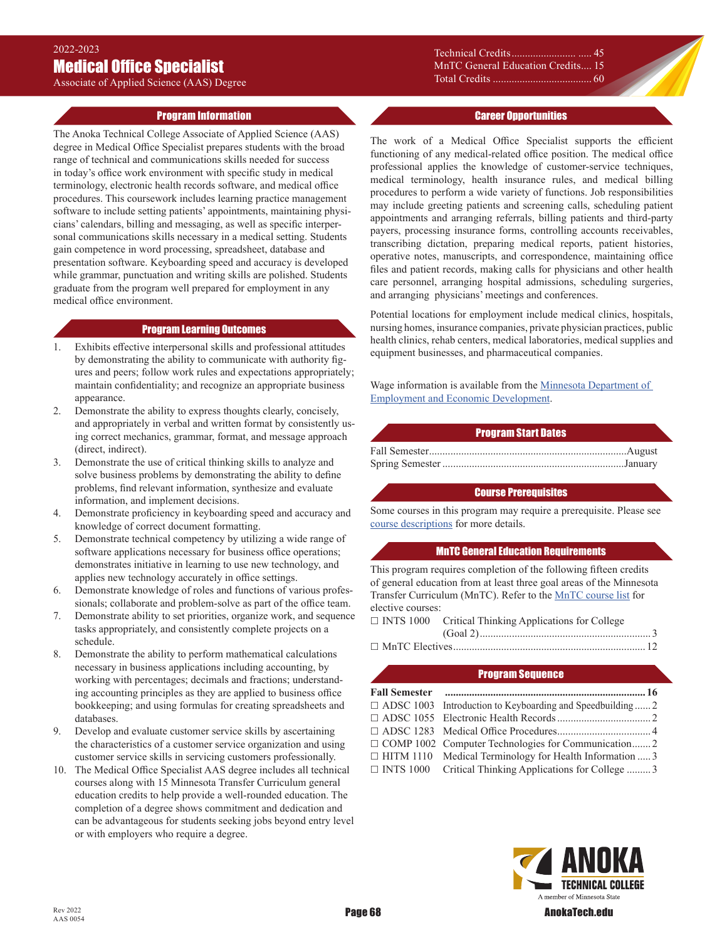Associate of Applied Science (AAS) Degree

# Program Information

The Anoka Technical College Associate of Applied Science (AAS) degree in Medical Office Specialist prepares students with the broad range of technical and communications skills needed for success in today's office work environment with specific study in medical terminology, electronic health records software, and medical office procedures. This coursework includes learning practice management software to include setting patients' appointments, maintaining physicians' calendars, billing and messaging, as well as specific interpersonal communications skills necessary in a medical setting. Students gain competence in word processing, spreadsheet, database and presentation software. Keyboarding speed and accuracy is developed while grammar, punctuation and writing skills are polished. Students graduate from the program well prepared for employment in any medical office environment.

## Program Learning Outcomes

- 1. Exhibits effective interpersonal skills and professional attitudes by demonstrating the ability to communicate with authority figures and peers; follow work rules and expectations appropriately; maintain confidentiality; and recognize an appropriate business appearance.
- 2. Demonstrate the ability to express thoughts clearly, concisely, and appropriately in verbal and written format by consistently using correct mechanics, grammar, format, and message approach (direct, indirect).
- 3. Demonstrate the use of critical thinking skills to analyze and solve business problems by demonstrating the ability to define problems, find relevant information, synthesize and evaluate information, and implement decisions.
- 4. Demonstrate proficiency in keyboarding speed and accuracy and knowledge of correct document formatting.
- 5. Demonstrate technical competency by utilizing a wide range of software applications necessary for business office operations; demonstrates initiative in learning to use new technology, and applies new technology accurately in office settings.
- 6. Demonstrate knowledge of roles and functions of various professionals; collaborate and problem-solve as part of the office team.
- 7. Demonstrate ability to set priorities, organize work, and sequence tasks appropriately, and consistently complete projects on a schedule.
- 8. Demonstrate the ability to perform mathematical calculations necessary in business applications including accounting, by working with percentages; decimals and fractions; understanding accounting principles as they are applied to business office bookkeeping; and using formulas for creating spreadsheets and databases.
- 9. Develop and evaluate customer service skills by ascertaining the characteristics of a customer service organization and using customer service skills in servicing customers professionally.
- 10. The Medical Office Specialist AAS degree includes all technical courses along with 15 Minnesota Transfer Curriculum general education credits to help provide a well-rounded education. The completion of a degree shows commitment and dedication and can be advantageous for students seeking jobs beyond entry level or with employers who require a degree.

Technical Credits........................ ..... 45 MnTC General Education Credits .... 15 Total Credits ..................................... 60

## Career Opportunities

The work of a Medical Office Specialist supports the efficient functioning of any medical-related office position. The medical office professional applies the knowledge of customer-service techniques, medical terminology, health insurance rules, and medical billing procedures to perform a wide variety of functions. Job responsibilities may include greeting patients and screening calls, scheduling patient appointments and arranging referrals, billing patients and third-party payers, processing insurance forms, controlling accounts receivables, transcribing dictation, preparing medical reports, patient histories, operative notes, manuscripts, and correspondence, maintaining office files and patient records, making calls for physicians and other health care personnel, arranging hospital admissions, scheduling surgeries, and arranging physicians' meetings and conferences.

Potential locations for employment include medical clinics, hospitals, nursing homes, insurance companies, private physician practices, public health clinics, rehab centers, medical laboratories, medical supplies and equipment businesses, and pharmaceutical companies.

Wage information is available from the Minnesota Department of [Employment and Economic Development](https://mn.gov/deed/job-seekers/job-outlook/).

## Program Start Dates

#### Course Prerequisites

Some courses in this program may require a prerequisite. Please see [course descriptions](http://www.anokatech.edu/ProgramsCourses/CourseList_Descriptions ) for more details.

## MnTC General Education Requirements

This program requires completion of the following fifteen credits of general education from at least three goal areas of the Minnesota Transfer Curriculum (MnTC). Refer to the [MnTC course list](http://www.anokatech.edu/BecomeStudent/Transfers/MnTC) for elective courses:

| $\Box$ INTS 1000 Critical Thinking Applications for College |  |
|-------------------------------------------------------------|--|
|                                                             |  |
|                                                             |  |

## Program Sequence

| $\Box$ ADSC 1003 Introduction to Keyboarding and Speedbuilding 2 |
|------------------------------------------------------------------|
|                                                                  |
|                                                                  |
| $\Box$ COMP 1002 Computer Technologies for Communication         |
| $\Box$ HITM 1110 Medical Terminology for Health Information  3   |
| $\Box$ INTS 1000 Critical Thinking Applications for College  3   |